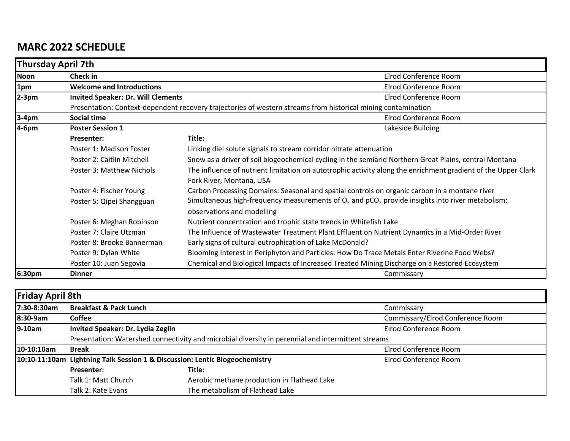## **MARC 2022 SCHEDULE**

|             | <b>Thursday April 7th</b>                                                                                             |                                                                                                                                           |  |  |
|-------------|-----------------------------------------------------------------------------------------------------------------------|-------------------------------------------------------------------------------------------------------------------------------------------|--|--|
| <b>Noon</b> | <b>Check in</b>                                                                                                       | Elrod Conference Room                                                                                                                     |  |  |
| 1pm         | <b>Welcome and Introductions</b>                                                                                      | Elrod Conference Room                                                                                                                     |  |  |
| $2-3pm$     | <b>Invited Speaker: Dr. Will Clements</b>                                                                             | Elrod Conference Room                                                                                                                     |  |  |
|             |                                                                                                                       | Presentation: Context-dependent recovery trajectories of western streams from historical mining contamination                             |  |  |
| $ 3-4$ pm   | Social time<br>Elrod Conference Room                                                                                  |                                                                                                                                           |  |  |
| 4-6pm       | <b>Poster Session 1</b>                                                                                               | Lakeside Building                                                                                                                         |  |  |
|             | <b>Presenter:</b>                                                                                                     | Title:                                                                                                                                    |  |  |
|             | Poster 1: Madison Foster                                                                                              | Linking diel solute signals to stream corridor nitrate attenuation                                                                        |  |  |
|             | Poster 2: Caitlin Mitchell                                                                                            | Snow as a driver of soil biogeochemical cycling in the semiarid Northern Great Plains, central Montana                                    |  |  |
|             | <b>Poster 3: Matthew Nichols</b>                                                                                      | The influence of nutrient limitation on autotrophic activity along the enrichment gradient of the Upper Clark<br>Fork River, Montana, USA |  |  |
|             | Poster 4: Fischer Young                                                                                               | Carbon Processing Domains: Seasonal and spatial controls on organic carbon in a montane river                                             |  |  |
|             | Poster 5: Qipei Shangguan                                                                                             | Simultaneous high-frequency measurements of $O_2$ and $pCO_2$ provide insights into river metabolism:<br>observations and modelling       |  |  |
|             | Poster 6: Meghan Robinson                                                                                             | Nutrient concentration and trophic state trends in Whitefish Lake                                                                         |  |  |
|             | Poster 7: Claire Utzman                                                                                               | The Influence of Wastewater Treatment Plant Effluent on Nutrient Dynamics in a Mid-Order River                                            |  |  |
|             | Poster 8: Brooke Bannerman                                                                                            | Early signs of cultural eutrophication of Lake McDonald?                                                                                  |  |  |
|             | Poster 9: Dylan White<br>Blooming Interest in Periphyton and Particles: How Do Trace Metals Enter Riverine Food Webs? |                                                                                                                                           |  |  |
|             | Poster 10: Juan Segovia                                                                                               | Chemical and Biological Impacts of Increased Treated Mining Discharge on a Restored Ecosystem                                             |  |  |
| 6:30pm      | <b>Dinner</b>                                                                                                         | Commissary                                                                                                                                |  |  |

| <b>Friday April 8th</b> |                                                                                                    |                                             |                                  |  |  |
|-------------------------|----------------------------------------------------------------------------------------------------|---------------------------------------------|----------------------------------|--|--|
| 7:30-8:30am             | <b>Breakfast &amp; Pack Lunch</b>                                                                  |                                             | Commissary                       |  |  |
| 8:30-9am                | <b>Coffee</b>                                                                                      |                                             | Commissary/Elrod Conference Room |  |  |
| $9-10am$                | Invited Speaker: Dr. Lydia Zeglin                                                                  |                                             | Elrod Conference Room            |  |  |
|                         | Presentation: Watershed connectivity and microbial diversity in perennial and intermittent streams |                                             |                                  |  |  |
| 10-10:10am              | <b>Break</b>                                                                                       |                                             | Elrod Conference Room            |  |  |
|                         | 10:10-11:10am Lightning Talk Session 1 & Discussion: Lentic Biogeochemistry                        |                                             | Elrod Conference Room            |  |  |
|                         | Presenter:                                                                                         | Title:                                      |                                  |  |  |
|                         | Talk 1: Matt Church                                                                                | Aerobic methane production in Flathead Lake |                                  |  |  |
|                         | Talk 2: Kate Evans                                                                                 | The metabolism of Flathead Lake             |                                  |  |  |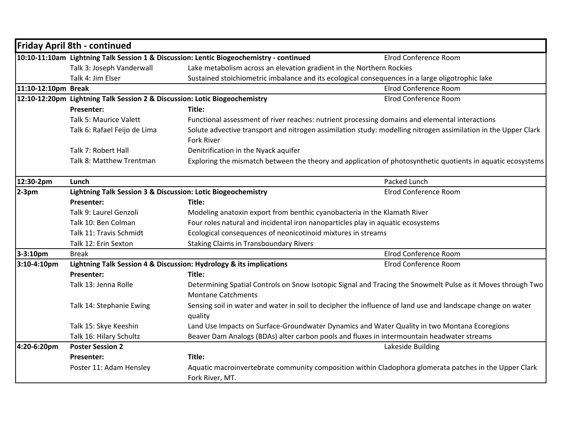|                     | <b>Friday April 8th - continued</b>                                        |                                                                                         |                                                                                                                |
|---------------------|----------------------------------------------------------------------------|-----------------------------------------------------------------------------------------|----------------------------------------------------------------------------------------------------------------|
|                     |                                                                            | 10:10-11:10am Lightning Talk Session 1 & Discussion: Lentic Biogeochemistry - continued | Elrod Conference Room                                                                                          |
|                     | Talk 3: Joseph Vanderwall                                                  | Lake metabolism across an elevation gradient in the Northern Rockies                    |                                                                                                                |
|                     | Talk 4: Jim Elser                                                          |                                                                                         | Sustained stoichiometric imbalance and its ecological consequences in a large oligotrophic lake                |
| 11:10-12:10pm Break |                                                                            |                                                                                         | Elrod Conference Room                                                                                          |
|                     | 12:10-12:20pm Lightning Talk Session 2 & Discussion: Lotic Biogeochemistry |                                                                                         | Elrod Conference Room                                                                                          |
|                     | <b>Presenter:</b>                                                          | Title:                                                                                  |                                                                                                                |
|                     | Talk 5: Maurice Valett                                                     |                                                                                         | Functional assessment of river reaches: nutrient processing domains and elemental interactions                 |
|                     | Talk 6: Rafael Feijo de Lima                                               | <b>Fork River</b>                                                                       | Solute advective transport and nitrogen assimilation study: modelling nitrogen assimilation in the Upper Clark |
|                     |                                                                            |                                                                                         |                                                                                                                |
|                     | Talk 7: Robert Hall<br>Talk 8: Matthew Trentman                            | Denitrification in the Nyack aquifer                                                    |                                                                                                                |
|                     |                                                                            |                                                                                         | Exploring the mismatch between the theory and application of photosynthetic quotients in aquatic ecosystems    |
| 12:30-2pm           | Lunch                                                                      |                                                                                         | Packed Lunch                                                                                                   |
| $2-3pm$             | Lightning Talk Session 3 & Discussion: Lotic Biogeochemistry               |                                                                                         | Elrod Conference Room                                                                                          |
|                     | <b>Presenter:</b>                                                          | Title:                                                                                  |                                                                                                                |
|                     | Talk 9: Laurel Genzoli                                                     | Modeling anatoxin export from benthic cyanobacteria in the Klamath River                |                                                                                                                |
|                     | Talk 10: Ben Colman                                                        | Four roles natural and incidental iron nanoparticles play in aquatic ecosystems         |                                                                                                                |
|                     | Talk 11: Travis Schmidt                                                    | Ecological consequences of neonicotinoid mixtures in streams                            |                                                                                                                |
|                     | Talk 12: Erin Sexton                                                       | <b>Staking Claims in Transboundary Rivers</b>                                           |                                                                                                                |
| 3-3:10pm            | <b>Break</b>                                                               |                                                                                         | Elrod Conference Room                                                                                          |
| $3:10-4:10$ pm      |                                                                            | Lightning Talk Session 4 & Discussion: Hydrology & its implications                     | Elrod Conference Room                                                                                          |
|                     | <b>Presenter:</b>                                                          | Title:                                                                                  |                                                                                                                |
|                     | Talk 13: Jenna Rolle                                                       | <b>Montane Catchments</b>                                                               | Determining Spatial Controls on Snow Isotopic Signal and Tracing the Snowmelt Pulse as it Moves through Two    |
|                     | Talk 14: Stephanie Ewing                                                   | quality                                                                                 | Sensing soil in water and water in soil to decipher the influence of land use and landscape change on water    |
|                     | Talk 15: Skye Keeshin                                                      |                                                                                         | Land Use Impacts on Surface-Groundwater Dynamics and Water Quality in two Montana Ecoregions                   |
|                     | Talk 16: Hilary Schultz                                                    |                                                                                         | Beaver Dam Analogs (BDAs) alter carbon pools and fluxes in intermountain headwater streams                     |
| 4:20-6:20pm         | <b>Poster Session 2</b>                                                    |                                                                                         | Lakeside Building                                                                                              |
|                     | <b>Presenter:</b>                                                          | Title:                                                                                  |                                                                                                                |
|                     | Poster 11: Adam Hensley                                                    |                                                                                         | Aquatic macroinvertebrate community composition within Cladophora glomerata patches in the Upper Clark         |
|                     |                                                                            | Fork River, MT.                                                                         |                                                                                                                |